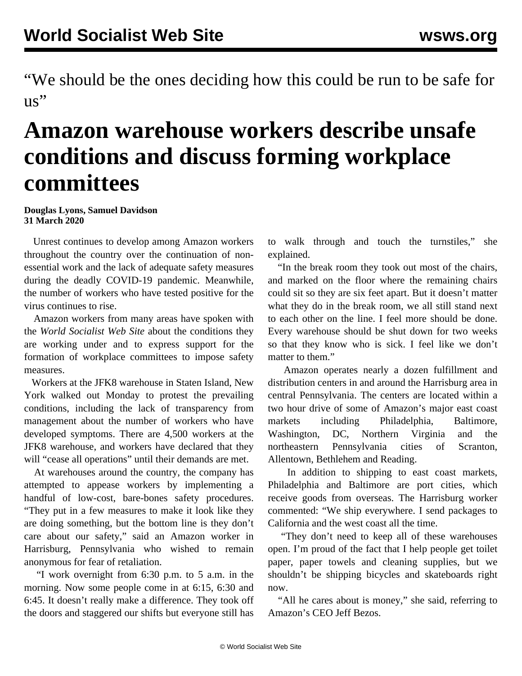"We should be the ones deciding how this could be run to be safe for us"

## **Amazon warehouse workers describe unsafe conditions and discuss forming workplace committees**

## **Douglas Lyons, Samuel Davidson 31 March 2020**

 Unrest continues to develop among Amazon workers throughout the country over the continuation of nonessential work and the lack of adequate safety measures during the deadly COVID-19 pandemic. Meanwhile, the number of workers who have tested positive for the virus continues to rise.

 Amazon workers from many areas have spoken with the *World Socialist Web Site* about the conditions they are working under and to express support for the formation of workplace committees to impose safety measures.

 Workers at the JFK8 warehouse in Staten Island, New York walked out Monday to protest the prevailing conditions, including the lack of transparency from management about the number of workers who have developed symptoms. There are 4,500 workers at the JFK8 warehouse, and workers have declared that they will "cease all operations" until their demands are met.

 At warehouses around the country, the company has attempted to appease workers by implementing a handful of low-cost, bare-bones safety procedures. "They put in a few measures to make it look like they are doing something, but the bottom line is they don't care about our safety," said an Amazon worker in Harrisburg, Pennsylvania who wished to remain anonymous for fear of retaliation.

 "I work overnight from 6:30 p.m. to 5 a.m. in the morning. Now some people come in at 6:15, 6:30 and 6:45. It doesn't really make a difference. They took off the doors and staggered our shifts but everyone still has

to walk through and touch the turnstiles," she explained.

 "In the break room they took out most of the chairs, and marked on the floor where the remaining chairs could sit so they are six feet apart. But it doesn't matter what they do in the break room, we all still stand next to each other on the line. I feel more should be done. Every warehouse should be shut down for two weeks so that they know who is sick. I feel like we don't matter to them."

 Amazon operates nearly a dozen fulfillment and distribution centers in and around the Harrisburg area in central Pennsylvania. The centers are located within a two hour drive of some of Amazon's major east coast markets including Philadelphia, Baltimore, Washington, DC, Northern Virginia and the northeastern Pennsylvania cities of Scranton, Allentown, Bethlehem and Reading.

 In addition to shipping to east coast markets, Philadelphia and Baltimore are port cities, which receive goods from overseas. The Harrisburg worker commented: "We ship everywhere. I send packages to California and the west coast all the time.

 "They don't need to keep all of these warehouses open. I'm proud of the fact that I help people get toilet paper, paper towels and cleaning supplies, but we shouldn't be shipping bicycles and skateboards right now.

 "All he cares about is money," she said, referring to Amazon's CEO Jeff Bezos.